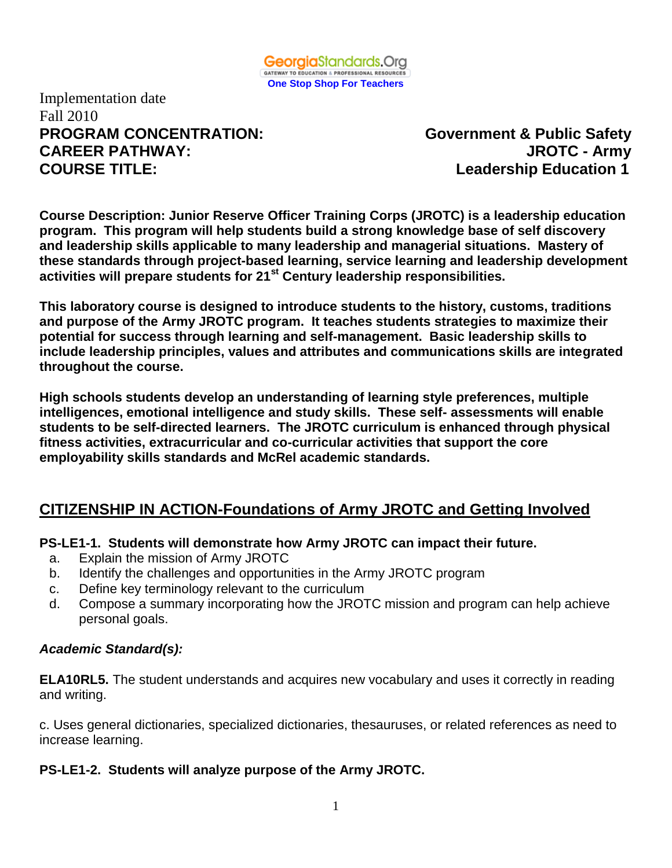

Implementation date Fall 2010 **PROGRAM CONCENTRATION: Government & Public Safety CAREER PATHWAY: JROTC - Army COURSE TITLE: Leadership Education 1**

**Course Description: Junior Reserve Officer Training Corps (JROTC) is a leadership education program. This program will help students build a strong knowledge base of self discovery and leadership skills applicable to many leadership and managerial situations. Mastery of these standards through project-based learning, service learning and leadership development activities will prepare students for 21st Century leadership responsibilities.**

**This laboratory course is designed to introduce students to the history, customs, traditions and purpose of the Army JROTC program. It teaches students strategies to maximize their potential for success through learning and self-management. Basic leadership skills to include leadership principles, values and attributes and communications skills are integrated throughout the course.** 

**High schools students develop an understanding of learning style preferences, multiple intelligences, emotional intelligence and study skills. These self- assessments will enable students to be self-directed learners. The JROTC curriculum is enhanced through physical fitness activities, extracurricular and co-curricular activities that support the core employability skills standards and McRel academic standards.** 

# **CITIZENSHIP IN ACTION-Foundations of Army JROTC and Getting Involved**

#### **PS-LE1-1. Students will demonstrate how Army JROTC can impact their future.**

- a. Explain the mission of Army JROTC
- b. Identify the challenges and opportunities in the Army JROTC program
- c. Define key terminology relevant to the curriculum
- d. Compose a summary incorporating how the JROTC mission and program can help achieve personal goals.

#### *Academic Standard(s):*

**ELA10RL5.** The student understands and acquires new vocabulary and uses it correctly in reading and writing.

c. Uses general dictionaries, specialized dictionaries, thesauruses, or related references as need to increase learning.

## **PS-LE1-2. Students will analyze purpose of the Army JROTC.**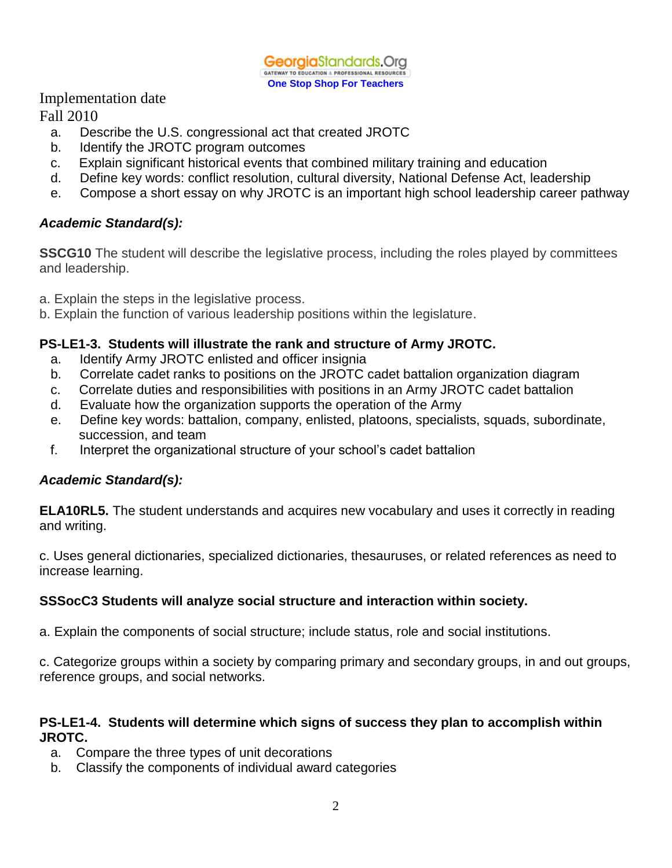

Fall 2010

- a. Describe the U.S. congressional act that created JROTC
- b. Identify the JROTC program outcomes
- c. Explain significant historical events that combined military training and education
- d. Define key words: conflict resolution, cultural diversity, National Defense Act, leadership
- e. Compose a short essay on why JROTC is an important high school leadership career pathway

## *Academic Standard(s):*

**SSCG10** The student will describe the legislative process, including the roles played by committees and leadership.

- a. Explain the steps in the legislative process.
- b. Explain the function of various leadership positions within the legislature.

#### **PS-LE1-3. Students will illustrate the rank and structure of Army JROTC.**

- a. Identify Army JROTC enlisted and officer insignia
- b. Correlate cadet ranks to positions on the JROTC cadet battalion organization diagram
- c. Correlate duties and responsibilities with positions in an Army JROTC cadet battalion
- d. Evaluate how the organization supports the operation of the Army
- e. Define key words: battalion, company, enlisted, platoons, specialists, squads, subordinate, succession, and team
- f. Interpret the organizational structure of your school's cadet battalion

## *Academic Standard(s):*

**ELA10RL5.** The student understands and acquires new vocabulary and uses it correctly in reading and writing.

c. Uses general dictionaries, specialized dictionaries, thesauruses, or related references as need to increase learning.

## **SSSocC3 Students will analyze social structure and interaction within society.**

a. Explain the components of social structure; include status, role and social institutions.

c. Categorize groups within a society by comparing primary and secondary groups, in and out groups, reference groups, and social networks.

#### **PS-LE1-4. Students will determine which signs of success they plan to accomplish within JROTC.**

- a. Compare the three types of unit decorations
- b. Classify the components of individual award categories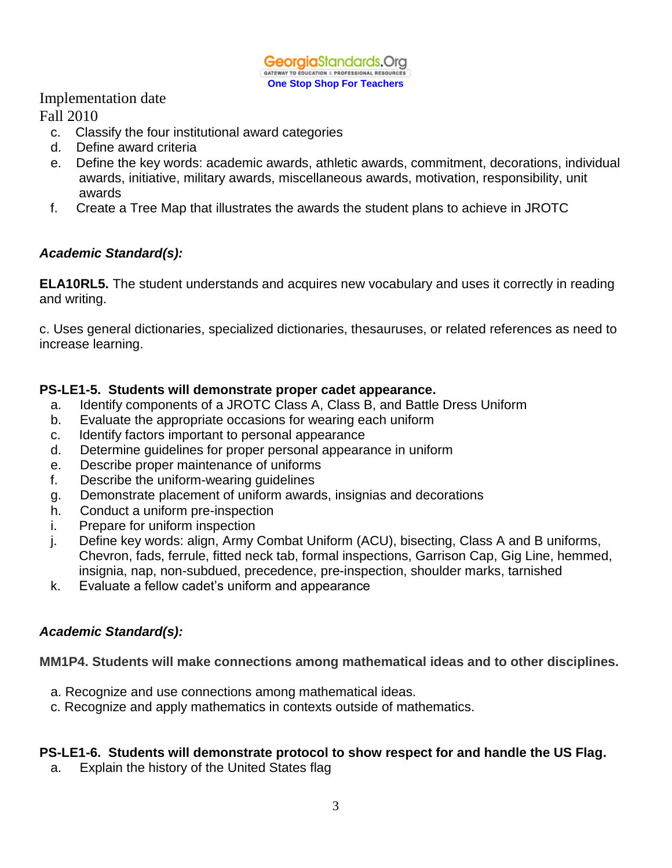## Fall 2010

- c. Classify the four institutional award categories
- d. Define award criteria
- e. Define the key words: academic awards, athletic awards, commitment, decorations, individual awards, initiative, military awards, miscellaneous awards, motivation, responsibility, unit awards
- f. Create a Tree Map that illustrates the awards the student plans to achieve in JROTC

## *Academic Standard(s):*

**ELA10RL5.** The student understands and acquires new vocabulary and uses it correctly in reading and writing.

c. Uses general dictionaries, specialized dictionaries, thesauruses, or related references as need to increase learning.

## **PS-LE1-5. Students will demonstrate proper cadet appearance.**

- a. Identify components of a JROTC Class A, Class B, and Battle Dress Uniform
- b. Evaluate the appropriate occasions for wearing each uniform
- c. Identify factors important to personal appearance
- d. Determine guidelines for proper personal appearance in uniform
- e. Describe proper maintenance of uniforms
- f. Describe the uniform-wearing guidelines
- g. Demonstrate placement of uniform awards, insignias and decorations
- h. Conduct a uniform pre-inspection
- i. Prepare for uniform inspection
- j. Define key words: align, Army Combat Uniform (ACU), bisecting, Class A and B uniforms, Chevron, fads, ferrule, fitted neck tab, formal inspections, Garrison Cap, Gig Line, hemmed, insignia, nap, non-subdued, precedence, pre-inspection, shoulder marks, tarnished
- k. Evaluate a fellow cadet's uniform and appearance

## *Academic Standard(s):*

**MM1P4. Students will make connections among mathematical ideas and to other disciplines.**

- a. Recognize and use connections among mathematical ideas.
- c. Recognize and apply mathematics in contexts outside of mathematics.

## **PS-LE1-6. Students will demonstrate protocol to show respect for and handle the US Flag.**

a. Explain the history of the United States flag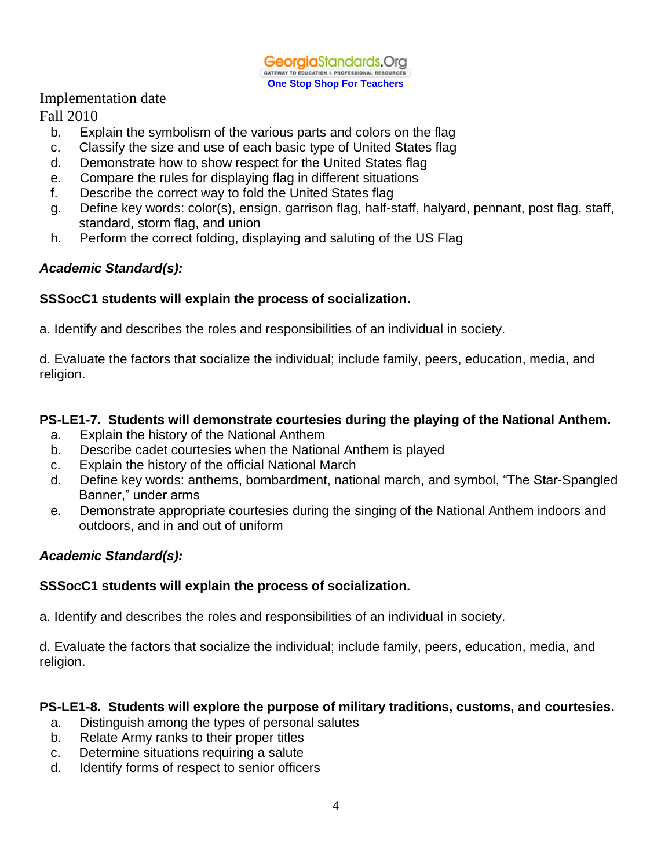**Georgia**Standards.Org GATEWAY TO EDUCATION & PROFESSIONAL RESOURCES **One Stop Shop For Teachers**

## Implementation date

Fall 2010

- b. Explain the symbolism of the various parts and colors on the flag
- c. Classify the size and use of each basic type of United States flag
- d. Demonstrate how to show respect for the United States flag
- e. Compare the rules for displaying flag in different situations
- f. Describe the correct way to fold the United States flag
- g. Define key words: color(s), ensign, garrison flag, half-staff, halyard, pennant, post flag, staff, standard, storm flag, and union
- h. Perform the correct folding, displaying and saluting of the US Flag

## *Academic Standard(s):*

## **SSSocC1 students will explain the process of socialization.**

a. Identify and describes the roles and responsibilities of an individual in society.

d. Evaluate the factors that socialize the individual; include family, peers, education, media, and religion.

## **PS-LE1-7. Students will demonstrate courtesies during the playing of the National Anthem.**

- a. Explain the history of the National Anthem
- b. Describe cadet courtesies when the National Anthem is played
- c. Explain the history of the official National March
- d. Define key words: anthems, bombardment, national march, and symbol, "The Star-Spangled Banner," under arms
- e. Demonstrate appropriate courtesies during the singing of the National Anthem indoors and outdoors, and in and out of uniform

## *Academic Standard(s):*

## **SSSocC1 students will explain the process of socialization.**

a. Identify and describes the roles and responsibilities of an individual in society.

d. Evaluate the factors that socialize the individual; include family, peers, education, media, and religion.

#### **PS-LE1-8. Students will explore the purpose of military traditions, customs, and courtesies.**

- a. Distinguish among the types of personal salutes
- b. Relate Army ranks to their proper titles
- c. Determine situations requiring a salute
- d. Identify forms of respect to senior officers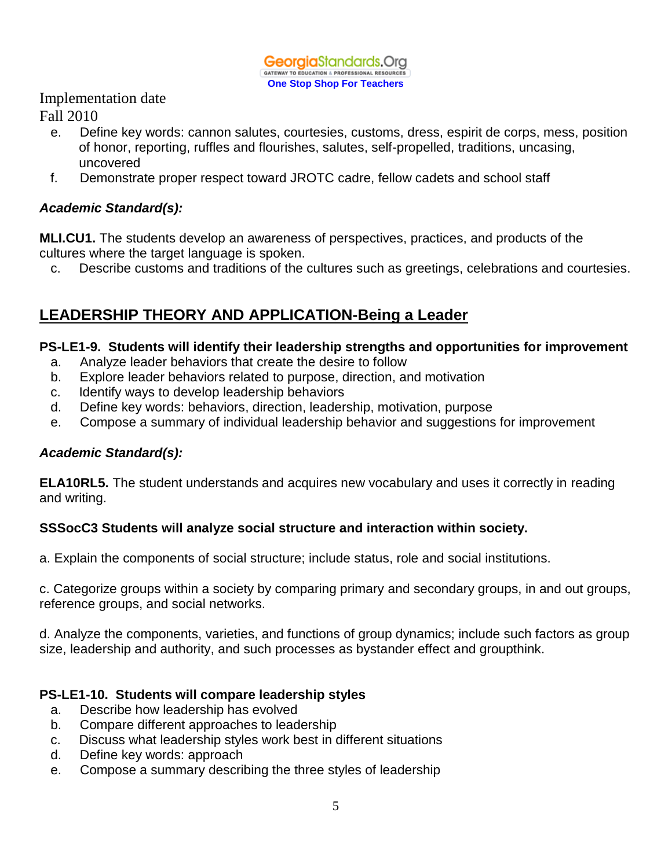

Fall 2010

- e. Define key words: cannon salutes, courtesies, customs, dress, espirit de corps, mess, position of honor, reporting, ruffles and flourishes, salutes, self-propelled, traditions, uncasing, uncovered
- f. Demonstrate proper respect toward JROTC cadre, fellow cadets and school staff

# *Academic Standard(s):*

**MLI.CU1.** The students develop an awareness of perspectives, practices, and products of the cultures where the target language is spoken.

c. Describe customs and traditions of the cultures such as greetings, celebrations and courtesies.

# **LEADERSHIP THEORY AND APPLICATION-Being a Leader**

## **PS-LE1-9. Students will identify their leadership strengths and opportunities for improvement**

- a. Analyze leader behaviors that create the desire to follow
- b. Explore leader behaviors related to purpose, direction, and motivation
- c. Identify ways to develop leadership behaviors
- d. Define key words: behaviors, direction, leadership, motivation, purpose
- e. Compose a summary of individual leadership behavior and suggestions for improvement

## *Academic Standard(s):*

**ELA10RL5.** The student understands and acquires new vocabulary and uses it correctly in reading and writing.

## **SSSocC3 Students will analyze social structure and interaction within society.**

a. Explain the components of social structure; include status, role and social institutions.

c. Categorize groups within a society by comparing primary and secondary groups, in and out groups, reference groups, and social networks.

d. Analyze the components, varieties, and functions of group dynamics; include such factors as group size, leadership and authority, and such processes as bystander effect and groupthink.

## **PS-LE1-10. Students will compare leadership styles**

- a. Describe how leadership has evolved
- b. Compare different approaches to leadership
- c. Discuss what leadership styles work best in different situations
- d. Define key words: approach
- e. Compose a summary describing the three styles of leadership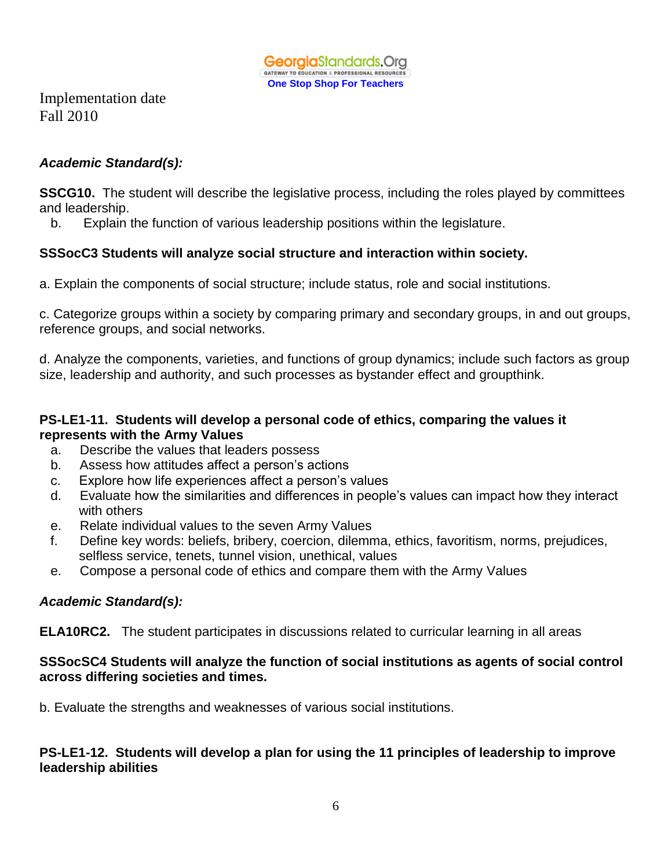

## *Academic Standard(s):*

**SSCG10.** The student will describe the legislative process, including the roles played by committees and leadership.

b. Explain the function of various leadership positions within the legislature.

## **SSSocC3 Students will analyze social structure and interaction within society.**

a. Explain the components of social structure; include status, role and social institutions.

c. Categorize groups within a society by comparing primary and secondary groups, in and out groups, reference groups, and social networks.

d. Analyze the components, varieties, and functions of group dynamics; include such factors as group size, leadership and authority, and such processes as bystander effect and groupthink.

## **PS-LE1-11. Students will develop a personal code of ethics, comparing the values it represents with the Army Values**

- a. Describe the values that leaders possess
- b. Assess how attitudes affect a person's actions
- c. Explore how life experiences affect a person's values
- d. Evaluate how the similarities and differences in people's values can impact how they interact with others
- e. Relate individual values to the seven Army Values
- f. Define key words: beliefs, bribery, coercion, dilemma, ethics, favoritism, norms, prejudices, selfless service, tenets, tunnel vision, unethical, values
- e. Compose a personal code of ethics and compare them with the Army Values

# *Academic Standard(s):*

**ELA10RC2.** The student participates in discussions related to curricular learning in all areas

#### **SSSocSC4 Students will analyze the function of social institutions as agents of social control across differing societies and times.**

b. Evaluate the strengths and weaknesses of various social institutions.

## **PS-LE1-12. Students will develop a plan for using the 11 principles of leadership to improve leadership abilities**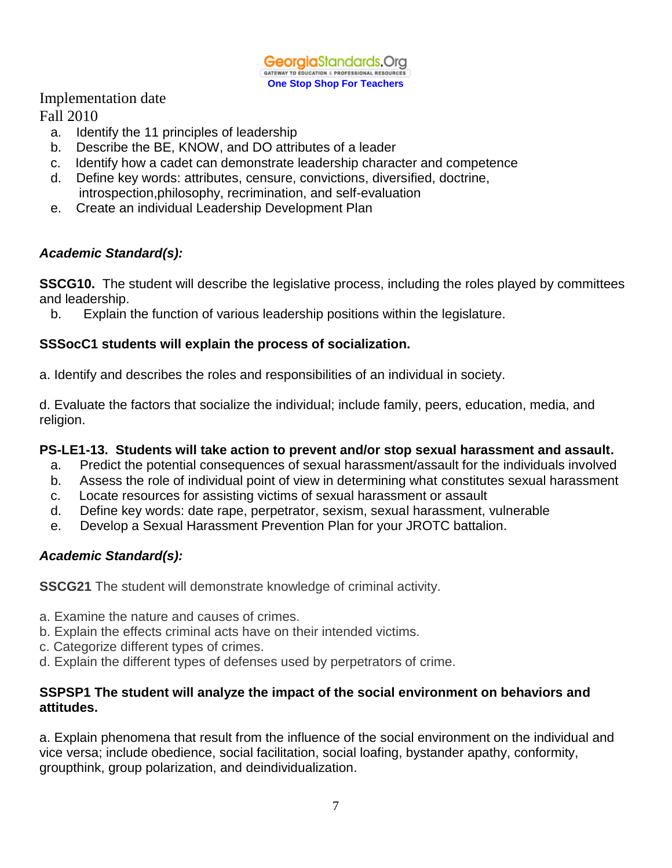**Georgia**Standards.Org GATEWAY TO EDUCATION & PROFESSIONAL RESOURCES **One Stop Shop For Teachers**

Implementation date

Fall 2010

- a. Identify the 11 principles of leadership
- b. Describe the BE, KNOW, and DO attributes of a leader
- c. Identify how a cadet can demonstrate leadership character and competence
- d. Define key words: attributes, censure, convictions, diversified, doctrine, introspection,philosophy, recrimination, and self-evaluation
- e. Create an individual Leadership Development Plan

# *Academic Standard(s):*

**SSCG10.** The student will describe the legislative process, including the roles played by committees and leadership.

b. Explain the function of various leadership positions within the legislature.

## **SSSocC1 students will explain the process of socialization.**

a. Identify and describes the roles and responsibilities of an individual in society.

d. Evaluate the factors that socialize the individual; include family, peers, education, media, and religion.

# **PS-LE1-13. Students will take action to prevent and/or stop sexual harassment and assault.**

- a. Predict the potential consequences of sexual harassment/assault for the individuals involved
- b. Assess the role of individual point of view in determining what constitutes sexual harassment
- c. Locate resources for assisting victims of sexual harassment or assault
- d. Define key words: date rape, perpetrator, sexism, sexual harassment, vulnerable
- e. Develop a Sexual Harassment Prevention Plan for your JROTC battalion.

# *Academic Standard(s):*

**SSCG21** The student will demonstrate knowledge of criminal activity.

- a. Examine the nature and causes of crimes.
- b. Explain the effects criminal acts have on their intended victims.
- c. Categorize different types of crimes.
- d. Explain the different types of defenses used by perpetrators of crime.

#### **SSPSP1 The student will analyze the impact of the social environment on behaviors and attitudes.**

a. Explain phenomena that result from the influence of the social environment on the individual and vice versa; include obedience, social facilitation, social loafing, bystander apathy, conformity, groupthink, group polarization, and deindividualization.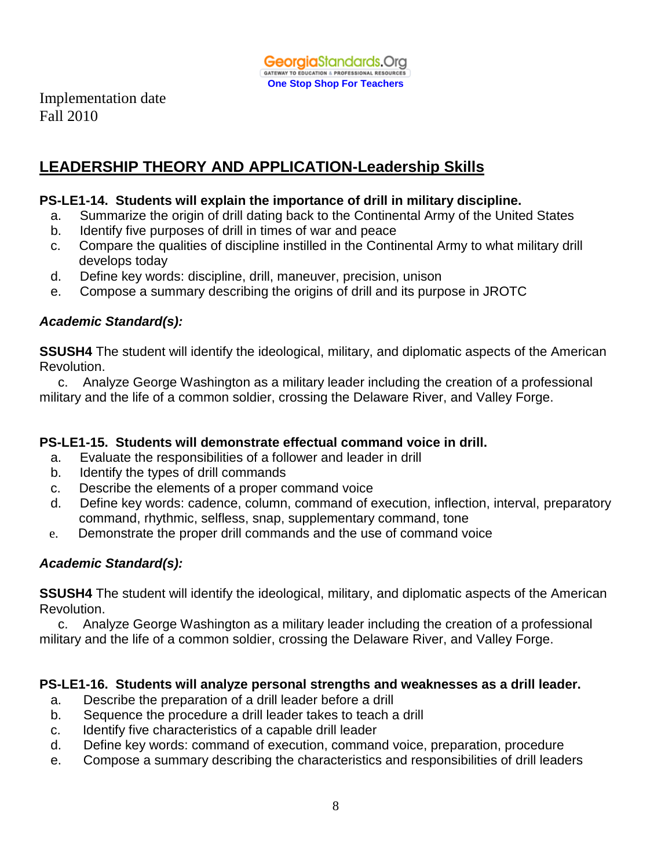

# **LEADERSHIP THEORY AND APPLICATION-Leadership Skills**

#### **PS-LE1-14. Students will explain the importance of drill in military discipline.**

- a. Summarize the origin of drill dating back to the Continental Army of the United States
- b. Identify five purposes of drill in times of war and peace
- c. Compare the qualities of discipline instilled in the Continental Army to what military drill develops today
- d. Define key words: discipline, drill, maneuver, precision, unison
- e. Compose a summary describing the origins of drill and its purpose in JROTC

#### *Academic Standard(s):*

**SSUSH4** The student will identify the ideological, military, and diplomatic aspects of the American Revolution.

 c. Analyze George Washington as a military leader including the creation of a professional military and the life of a common soldier, crossing the Delaware River, and Valley Forge.

## **PS-LE1-15. Students will demonstrate effectual command voice in drill.**

- a. Evaluate the responsibilities of a follower and leader in drill
- b. Identify the types of drill commands
- c. Describe the elements of a proper command voice
- d. Define key words: cadence, column, command of execution, inflection, interval, preparatory command, rhythmic, selfless, snap, supplementary command, tone
- e. Demonstrate the proper drill commands and the use of command voice

## *Academic Standard(s):*

**SSUSH4** The student will identify the ideological, military, and diplomatic aspects of the American Revolution.

 c. Analyze George Washington as a military leader including the creation of a professional military and the life of a common soldier, crossing the Delaware River, and Valley Forge.

#### **PS-LE1-16. Students will analyze personal strengths and weaknesses as a drill leader.**

- a. Describe the preparation of a drill leader before a drill
- b. Sequence the procedure a drill leader takes to teach a drill
- c. Identify five characteristics of a capable drill leader
- d. Define key words: command of execution, command voice, preparation, procedure
- e. Compose a summary describing the characteristics and responsibilities of drill leaders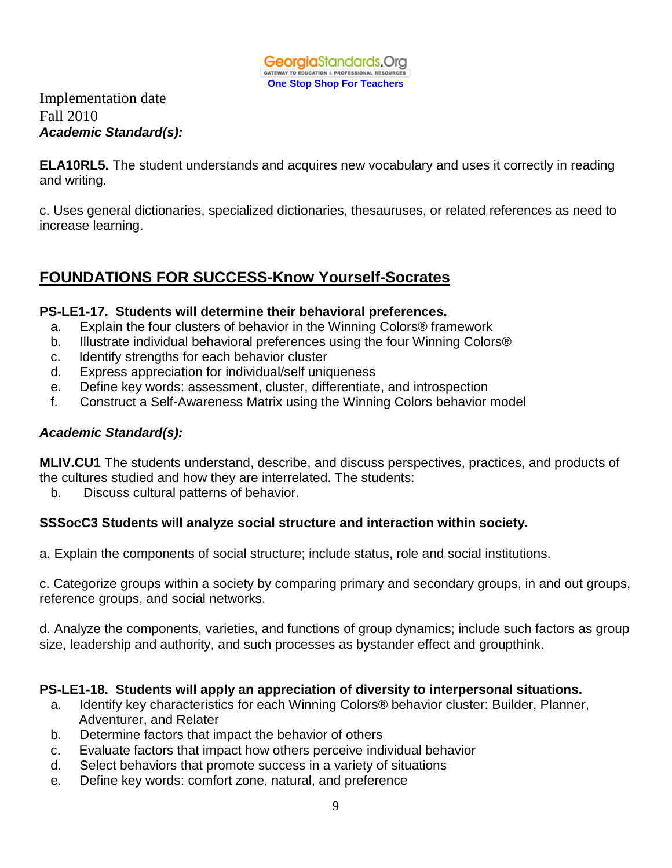

Implementation date Fall 2010 *Academic Standard(s):*

**ELA10RL5.** The student understands and acquires new vocabulary and uses it correctly in reading and writing.

c. Uses general dictionaries, specialized dictionaries, thesauruses, or related references as need to increase learning.

# **FOUNDATIONS FOR SUCCESS-Know Yourself-Socrates**

#### **PS-LE1-17. Students will determine their behavioral preferences.**

- a. Explain the four clusters of behavior in the Winning Colors® framework
- b. Illustrate individual behavioral preferences using the four Winning Colors®
- c. Identify strengths for each behavior cluster
- d. Express appreciation for individual/self uniqueness
- e. Define key words: assessment, cluster, differentiate, and introspection
- f. Construct a Self-Awareness Matrix using the Winning Colors behavior model

## *Academic Standard(s):*

**MLIV.CU1** The students understand, describe, and discuss perspectives, practices, and products of the cultures studied and how they are interrelated. The students:

b. Discuss cultural patterns of behavior.

## **SSSocC3 Students will analyze social structure and interaction within society.**

a. Explain the components of social structure; include status, role and social institutions.

c. Categorize groups within a society by comparing primary and secondary groups, in and out groups, reference groups, and social networks.

d. Analyze the components, varieties, and functions of group dynamics; include such factors as group size, leadership and authority, and such processes as bystander effect and groupthink.

#### **PS-LE1-18. Students will apply an appreciation of diversity to interpersonal situations.**

- a. Identify key characteristics for each Winning Colors® behavior cluster: Builder, Planner, Adventurer, and Relater
- b. Determine factors that impact the behavior of others
- c. Evaluate factors that impact how others perceive individual behavior
- d. Select behaviors that promote success in a variety of situations
- e. Define key words: comfort zone, natural, and preference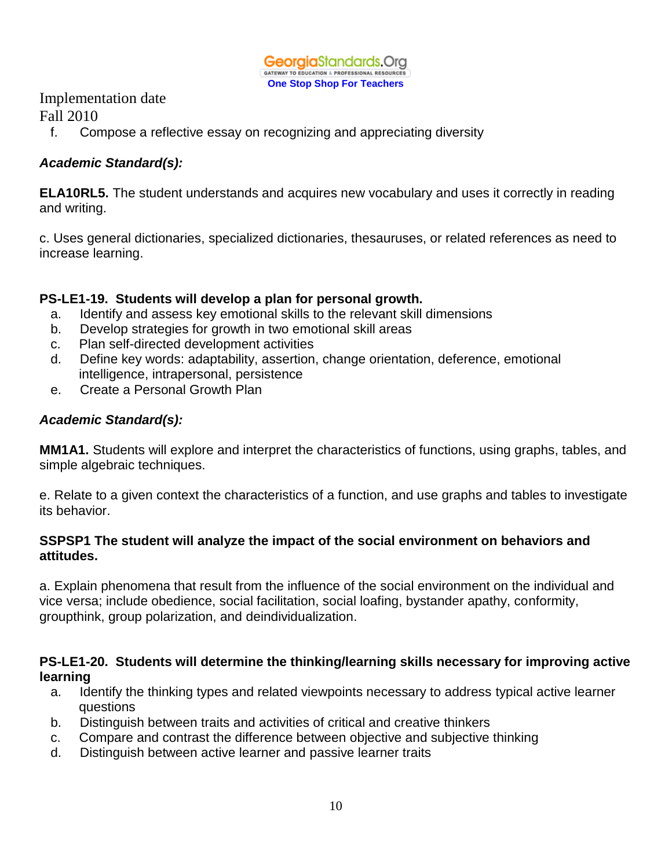

Fall 2010

f. Compose a reflective essay on recognizing and appreciating diversity

## *Academic Standard(s):*

**ELA10RL5.** The student understands and acquires new vocabulary and uses it correctly in reading and writing.

c. Uses general dictionaries, specialized dictionaries, thesauruses, or related references as need to increase learning.

## **PS-LE1-19. Students will develop a plan for personal growth.**

- a. Identify and assess key emotional skills to the relevant skill dimensions
- b. Develop strategies for growth in two emotional skill areas
- c. Plan self-directed development activities
- d. Define key words: adaptability, assertion, change orientation, deference, emotional intelligence, intrapersonal, persistence
- e. Create a Personal Growth Plan

## *Academic Standard(s):*

**MM1A1.** Students will explore and interpret the characteristics of functions, using graphs, tables, and simple algebraic techniques.

e. Relate to a given context the characteristics of a function, and use graphs and tables to investigate its behavior.

#### **SSPSP1 The student will analyze the impact of the social environment on behaviors and attitudes.**

a. Explain phenomena that result from the influence of the social environment on the individual and vice versa; include obedience, social facilitation, social loafing, bystander apathy, conformity, groupthink, group polarization, and deindividualization.

#### **PS-LE1-20. Students will determine the thinking/learning skills necessary for improving active learning**

- a. Identify the thinking types and related viewpoints necessary to address typical active learner questions
- b. Distinguish between traits and activities of critical and creative thinkers
- c. Compare and contrast the difference between objective and subjective thinking
- d. Distinguish between active learner and passive learner traits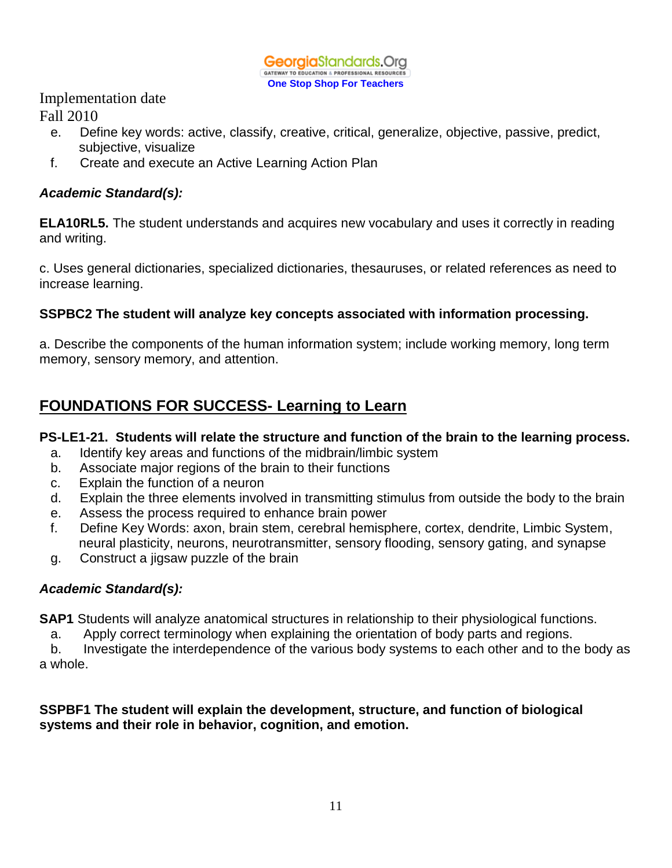

Fall 2010

- e. Define key words: active, classify, creative, critical, generalize, objective, passive, predict, subjective, visualize
- f. Create and execute an Active Learning Action Plan

# *Academic Standard(s):*

**ELA10RL5.** The student understands and acquires new vocabulary and uses it correctly in reading and writing.

c. Uses general dictionaries, specialized dictionaries, thesauruses, or related references as need to increase learning.

## **SSPBC2 The student will analyze key concepts associated with information processing.**

a. Describe the components of the human information system; include working memory, long term memory, sensory memory, and attention.

# **FOUNDATIONS FOR SUCCESS- Learning to Learn**

## **PS-LE1-21. Students will relate the structure and function of the brain to the learning process.**

- a. Identify key areas and functions of the midbrain/limbic system
- b. Associate major regions of the brain to their functions
- c. Explain the function of a neuron
- d. Explain the three elements involved in transmitting stimulus from outside the body to the brain
- e. Assess the process required to enhance brain power
- f. Define Key Words: axon, brain stem, cerebral hemisphere, cortex, dendrite, Limbic System, neural plasticity, neurons, neurotransmitter, sensory flooding, sensory gating, and synapse
- g. Construct a jigsaw puzzle of the brain

# *Academic Standard(s):*

**SAP1** Students will analyze anatomical structures in relationship to their physiological functions.

a. Apply correct terminology when explaining the orientation of body parts and regions.

 b. Investigate the interdependence of the various body systems to each other and to the body as a whole.

#### **SSPBF1 The student will explain the development, structure, and function of biological systems and their role in behavior, cognition, and emotion.**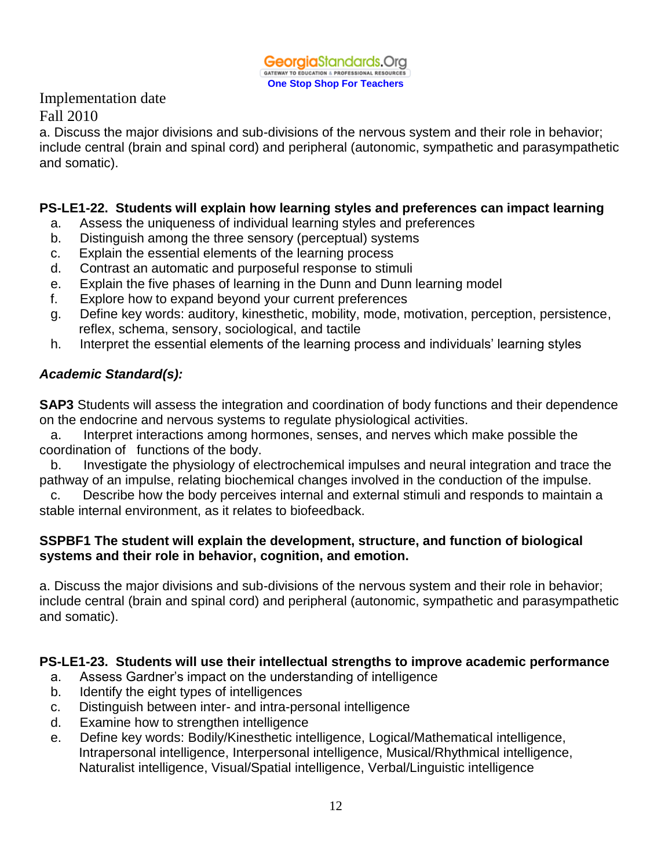a. Discuss the major divisions and sub-divisions of the nervous system and their role in behavior; include central (brain and spinal cord) and peripheral (autonomic, sympathetic and parasympathetic and somatic).

#### **PS-LE1-22. Students will explain how learning styles and preferences can impact learning**

- a. Assess the uniqueness of individual learning styles and preferences
- b. Distinguish among the three sensory (perceptual) systems
- c. Explain the essential elements of the learning process
- d. Contrast an automatic and purposeful response to stimuli
- e. Explain the five phases of learning in the Dunn and Dunn learning model
- f. Explore how to expand beyond your current preferences
- g. Define key words: auditory, kinesthetic, mobility, mode, motivation, perception, persistence, reflex, schema, sensory, sociological, and tactile
- h. Interpret the essential elements of the learning process and individuals' learning styles

## *Academic Standard(s):*

**SAP3** Students will assess the integration and coordination of body functions and their dependence on the endocrine and nervous systems to regulate physiological activities.

 a. Interpret interactions among hormones, senses, and nerves which make possible the coordination of functions of the body.

 b. Investigate the physiology of electrochemical impulses and neural integration and trace the pathway of an impulse, relating biochemical changes involved in the conduction of the impulse.

 c. Describe how the body perceives internal and external stimuli and responds to maintain a stable internal environment, as it relates to biofeedback.

#### **SSPBF1 The student will explain the development, structure, and function of biological systems and their role in behavior, cognition, and emotion.**

a. Discuss the major divisions and sub-divisions of the nervous system and their role in behavior; include central (brain and spinal cord) and peripheral (autonomic, sympathetic and parasympathetic and somatic).

## **PS-LE1-23. Students will use their intellectual strengths to improve academic performance**

- a. Assess Gardner's impact on the understanding of intelligence
- b. Identify the eight types of intelligences
- c. Distinguish between inter- and intra-personal intelligence
- d. Examine how to strengthen intelligence
- e. Define key words: Bodily/Kinesthetic intelligence, Logical/Mathematical intelligence, Intrapersonal intelligence, Interpersonal intelligence, Musical/Rhythmical intelligence, Naturalist intelligence, Visual/Spatial intelligence, Verbal/Linguistic intelligence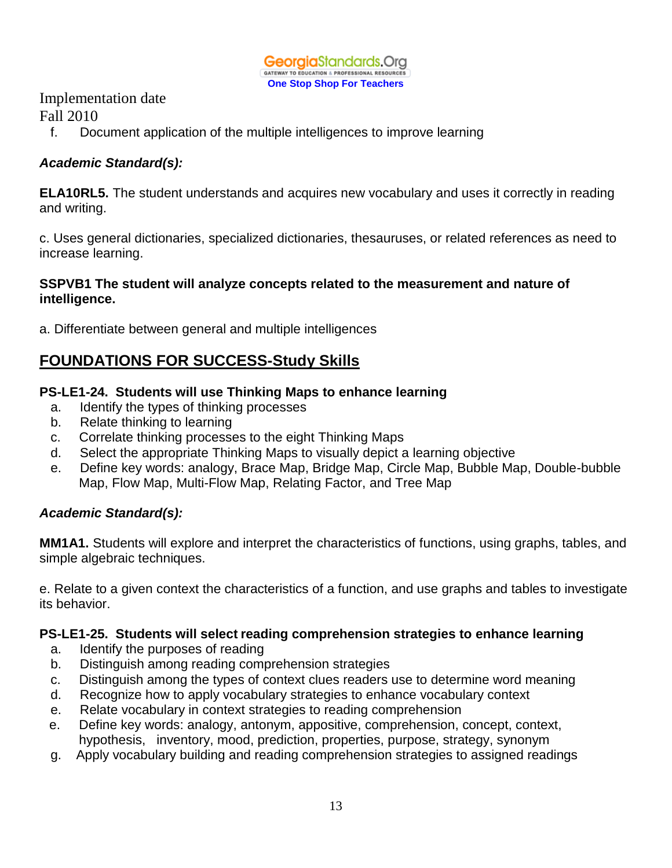

Fall 2010

f. Document application of the multiple intelligences to improve learning

## *Academic Standard(s):*

**ELA10RL5.** The student understands and acquires new vocabulary and uses it correctly in reading and writing.

c. Uses general dictionaries, specialized dictionaries, thesauruses, or related references as need to increase learning.

#### **SSPVB1 The student will analyze concepts related to the measurement and nature of intelligence.**

a. Differentiate between general and multiple intelligences

# **FOUNDATIONS FOR SUCCESS-Study Skills**

#### **PS-LE1-24. Students will use Thinking Maps to enhance learning**

- a. Identify the types of thinking processes
- b. Relate thinking to learning
- c. Correlate thinking processes to the eight Thinking Maps
- d. Select the appropriate Thinking Maps to visually depict a learning objective
- e. Define key words: analogy, Brace Map, Bridge Map, Circle Map, Bubble Map, Double-bubble Map, Flow Map, Multi-Flow Map, Relating Factor, and Tree Map

## *Academic Standard(s):*

**MM1A1.** Students will explore and interpret the characteristics of functions, using graphs, tables, and simple algebraic techniques.

e. Relate to a given context the characteristics of a function, and use graphs and tables to investigate its behavior.

#### **PS-LE1-25. Students will select reading comprehension strategies to enhance learning**

- a. Identify the purposes of reading
- b. Distinguish among reading comprehension strategies
- c. Distinguish among the types of context clues readers use to determine word meaning
- d. Recognize how to apply vocabulary strategies to enhance vocabulary context
- e. Relate vocabulary in context strategies to reading comprehension
- e. Define key words: analogy, antonym, appositive, comprehension, concept, context, hypothesis, inventory, mood, prediction, properties, purpose, strategy, synonym
- g. Apply vocabulary building and reading comprehension strategies to assigned readings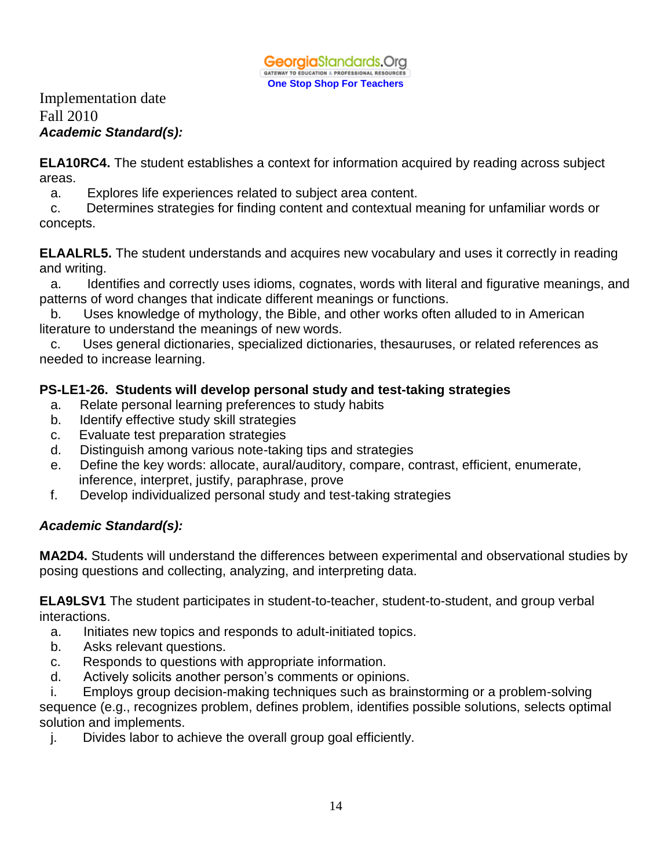

Implementation date Fall 2010 *Academic Standard(s):*

**ELA10RC4.** The student establishes a context for information acquired by reading across subject areas.

a. Explores life experiences related to subject area content.

 c. Determines strategies for finding content and contextual meaning for unfamiliar words or concepts.

**ELAALRL5.** The student understands and acquires new vocabulary and uses it correctly in reading and writing.

 a. Identifies and correctly uses idioms, cognates, words with literal and figurative meanings, and patterns of word changes that indicate different meanings or functions.

 b. Uses knowledge of mythology, the Bible, and other works often alluded to in American literature to understand the meanings of new words.

 c. Uses general dictionaries, specialized dictionaries, thesauruses, or related references as needed to increase learning.

## **PS-LE1-26. Students will develop personal study and test-taking strategies**

- a. Relate personal learning preferences to study habits
- b. Identify effective study skill strategies
- c. Evaluate test preparation strategies
- d. Distinguish among various note-taking tips and strategies
- e. Define the key words: allocate, aural/auditory, compare, contrast, efficient, enumerate, inference, interpret, justify, paraphrase, prove
- f. Develop individualized personal study and test-taking strategies

## *Academic Standard(s):*

**MA2D4.** Students will understand the differences between experimental and observational studies by posing questions and collecting, analyzing, and interpreting data.

**ELA9LSV1** The student participates in student-to-teacher, student-to-student, and group verbal interactions.

- a. Initiates new topics and responds to adult-initiated topics.
- b. Asks relevant questions.
- c. Responds to questions with appropriate information.
- d. Actively solicits another person's comments or opinions.

 i. Employs group decision-making techniques such as brainstorming or a problem-solving sequence (e.g., recognizes problem, defines problem, identifies possible solutions, selects optimal solution and implements.

j. Divides labor to achieve the overall group goal efficiently.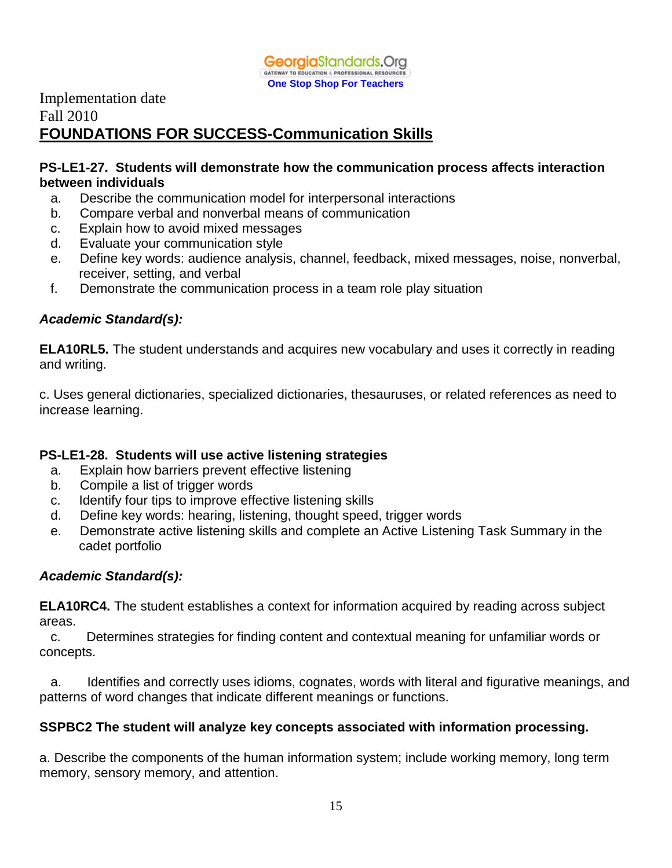

# Implementation date Fall 2010 **FOUNDATIONS FOR SUCCESS-Communication Skills**

#### **PS-LE1-27. Students will demonstrate how the communication process affects interaction between individuals**

- a. Describe the communication model for interpersonal interactions
- b. Compare verbal and nonverbal means of communication
- c. Explain how to avoid mixed messages
- d. Evaluate your communication style
- e. Define key words: audience analysis, channel, feedback, mixed messages, noise, nonverbal, receiver, setting, and verbal
- f. Demonstrate the communication process in a team role play situation

## *Academic Standard(s):*

**ELA10RL5.** The student understands and acquires new vocabulary and uses it correctly in reading and writing.

c. Uses general dictionaries, specialized dictionaries, thesauruses, or related references as need to increase learning.

## **PS-LE1-28. Students will use active listening strategies**

- a. Explain how barriers prevent effective listening
- b. Compile a list of trigger words
- c. Identify four tips to improve effective listening skills
- d. Define key words: hearing, listening, thought speed, trigger words
- e. Demonstrate active listening skills and complete an Active Listening Task Summary in the cadet portfolio

## *Academic Standard(s):*

**ELA10RC4.** The student establishes a context for information acquired by reading across subject areas.

 c. Determines strategies for finding content and contextual meaning for unfamiliar words or concepts.

 a. Identifies and correctly uses idioms, cognates, words with literal and figurative meanings, and patterns of word changes that indicate different meanings or functions.

## **SSPBC2 The student will analyze key concepts associated with information processing.**

a. Describe the components of the human information system; include working memory, long term memory, sensory memory, and attention.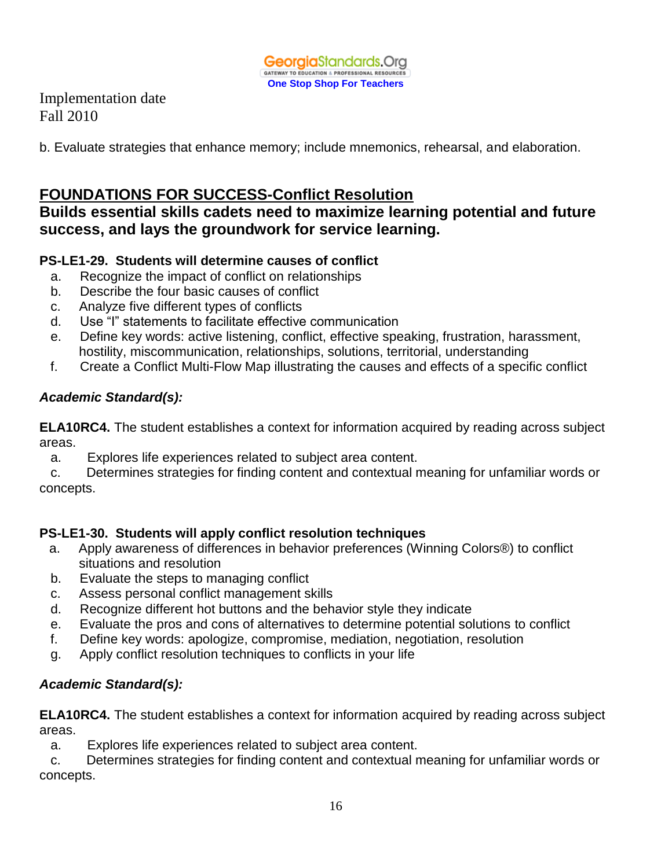

b. Evaluate strategies that enhance memory; include mnemonics, rehearsal, and elaboration.

# **FOUNDATIONS FOR SUCCESS-Conflict Resolution**

**Builds essential skills cadets need to maximize learning potential and future success, and lays the groundwork for service learning.**

# **PS-LE1-29. Students will determine causes of conflict**

- a. Recognize the impact of conflict on relationships
- b. Describe the four basic causes of conflict
- c. Analyze five different types of conflicts
- d. Use "I" statements to facilitate effective communication
- e. Define key words: active listening, conflict, effective speaking, frustration, harassment, hostility, miscommunication, relationships, solutions, territorial, understanding
- f. Create a Conflict Multi-Flow Map illustrating the causes and effects of a specific conflict

# *Academic Standard(s):*

**ELA10RC4.** The student establishes a context for information acquired by reading across subject areas.

a. Explores life experiences related to subject area content.

 c. Determines strategies for finding content and contextual meaning for unfamiliar words or concepts.

## **PS-LE1-30. Students will apply conflict resolution techniques**

- a. Apply awareness of differences in behavior preferences (Winning Colors®) to conflict situations and resolution
- b. Evaluate the steps to managing conflict
- c. Assess personal conflict management skills
- d. Recognize different hot buttons and the behavior style they indicate
- e. Evaluate the pros and cons of alternatives to determine potential solutions to conflict
- f. Define key words: apologize, compromise, mediation, negotiation, resolution
- g. Apply conflict resolution techniques to conflicts in your life

## *Academic Standard(s):*

**ELA10RC4.** The student establishes a context for information acquired by reading across subject areas.

a. Explores life experiences related to subject area content.

 c. Determines strategies for finding content and contextual meaning for unfamiliar words or concepts.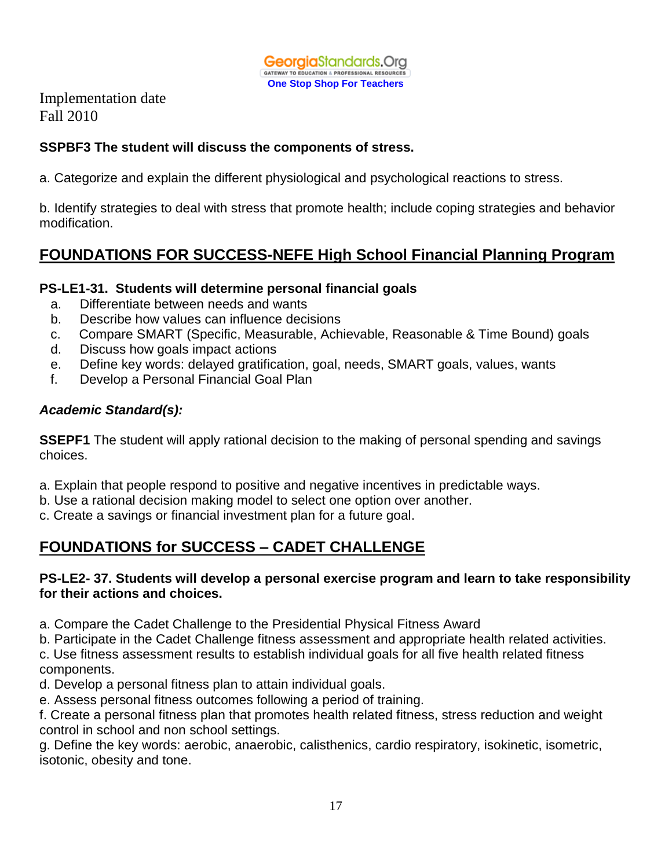

## **SSPBF3 The student will discuss the components of stress.**

a. Categorize and explain the different physiological and psychological reactions to stress.

b. Identify strategies to deal with stress that promote health; include coping strategies and behavior modification.

# **FOUNDATIONS FOR SUCCESS-NEFE High School Financial Planning Program**

## **PS-LE1-31. Students will determine personal financial goals**

- a. Differentiate between needs and wants
- b. Describe how values can influence decisions
- c. Compare SMART (Specific, Measurable, Achievable, Reasonable & Time Bound) goals
- d. Discuss how goals impact actions
- e. Define key words: delayed gratification, goal, needs, SMART goals, values, wants
- f. Develop a Personal Financial Goal Plan

## *Academic Standard(s):*

**SSEPF1** The student will apply rational decision to the making of personal spending and savings choices.

- a. Explain that people respond to positive and negative incentives in predictable ways.
- b. Use a rational decision making model to select one option over another.
- c. Create a savings or financial investment plan for a future goal.

# **FOUNDATIONS for SUCCESS – CADET CHALLENGE**

#### **PS-LE2- 37. Students will develop a personal exercise program and learn to take responsibility for their actions and choices.**

a. Compare the Cadet Challenge to the Presidential Physical Fitness Award

b. Participate in the Cadet Challenge fitness assessment and appropriate health related activities.

c. Use fitness assessment results to establish individual goals for all five health related fitness components.

d. Develop a personal fitness plan to attain individual goals.

e. Assess personal fitness outcomes following a period of training.

f. Create a personal fitness plan that promotes health related fitness, stress reduction and weight control in school and non school settings.

g. Define the key words: aerobic, anaerobic, calisthenics, cardio respiratory, isokinetic, isometric, isotonic, obesity and tone.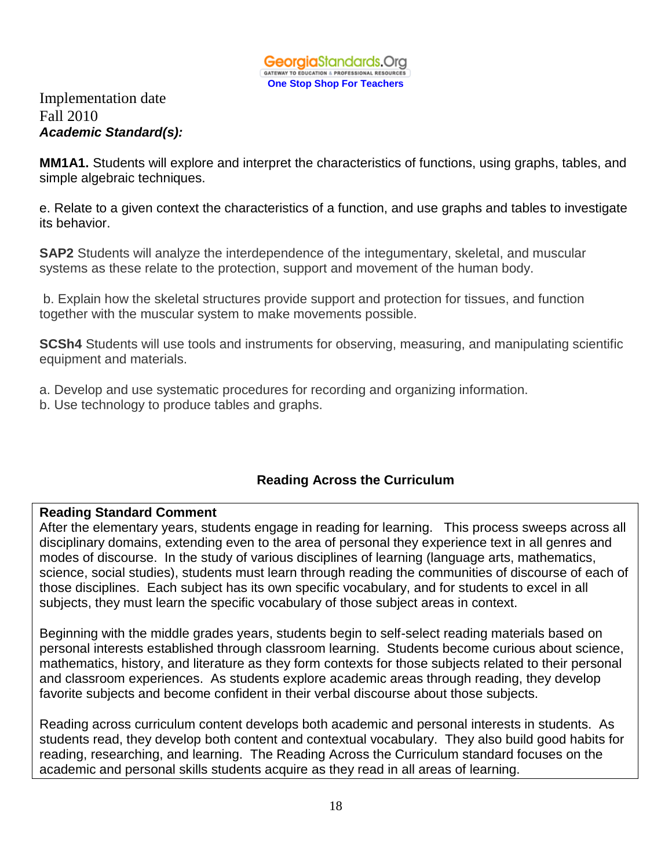

Implementation date Fall 2010 *Academic Standard(s):*

**MM1A1.** Students will explore and interpret the characteristics of functions, using graphs, tables, and simple algebraic techniques.

e. Relate to a given context the characteristics of a function, and use graphs and tables to investigate its behavior.

**SAP2** Students will analyze the interdependence of the integumentary, skeletal, and muscular systems as these relate to the protection, support and movement of the human body.

b. Explain how the skeletal structures provide support and protection for tissues, and function together with the muscular system to make movements possible.

**SCSh4** Students will use tools and instruments for observing, measuring, and manipulating scientific equipment and materials.

a. Develop and use systematic procedures for recording and organizing information.

b. Use technology to produce tables and graphs.

## **Reading Across the Curriculum**

#### **Reading Standard Comment**

After the elementary years, students engage in reading for learning. This process sweeps across all disciplinary domains, extending even to the area of personal they experience text in all genres and modes of discourse. In the study of various disciplines of learning (language arts, mathematics, science, social studies), students must learn through reading the communities of discourse of each of those disciplines. Each subject has its own specific vocabulary, and for students to excel in all subjects, they must learn the specific vocabulary of those subject areas in context.

Beginning with the middle grades years, students begin to self-select reading materials based on personal interests established through classroom learning. Students become curious about science, mathematics, history, and literature as they form contexts for those subjects related to their personal and classroom experiences. As students explore academic areas through reading, they develop favorite subjects and become confident in their verbal discourse about those subjects.

Reading across curriculum content develops both academic and personal interests in students. As students read, they develop both content and contextual vocabulary. They also build good habits for reading, researching, and learning. The Reading Across the Curriculum standard focuses on the academic and personal skills students acquire as they read in all areas of learning.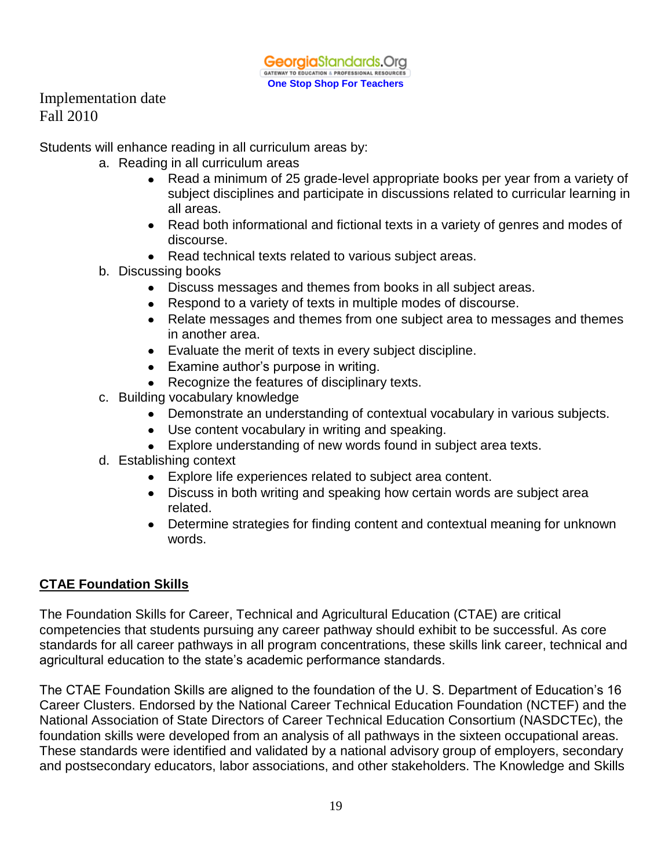Students will enhance reading in all curriculum areas by:

- a. Reading in all curriculum areas
	- Read a minimum of 25 grade-level appropriate books per year from a variety of subject disciplines and participate in discussions related to curricular learning in all areas.
	- Read both informational and fictional texts in a variety of genres and modes of discourse.
	- Read technical texts related to various subject areas.
- b. Discussing books
	- Discuss messages and themes from books in all subject areas.
	- Respond to a variety of texts in multiple modes of discourse.
	- Relate messages and themes from one subject area to messages and themes in another area.
	- Evaluate the merit of texts in every subject discipline.
	- Examine author's purpose in writing.
	- Recognize the features of disciplinary texts.
- c. Building vocabulary knowledge
	- Demonstrate an understanding of contextual vocabulary in various subjects.
	- Use content vocabulary in writing and speaking.
	- Explore understanding of new words found in subject area texts.
- d. Establishing context
	- Explore life experiences related to subject area content.  $\bullet$
	- Discuss in both writing and speaking how certain words are subject area related.
	- Determine strategies for finding content and contextual meaning for unknown words.

## **CTAE Foundation Skills**

The Foundation Skills for Career, Technical and Agricultural Education (CTAE) are critical competencies that students pursuing any career pathway should exhibit to be successful. As core standards for all career pathways in all program concentrations, these skills link career, technical and agricultural education to the state's academic performance standards.

The CTAE Foundation Skills are aligned to the foundation of the U. S. Department of Education's 16 Career Clusters. Endorsed by the National Career Technical Education Foundation (NCTEF) and the National Association of State Directors of Career Technical Education Consortium (NASDCTEc), the foundation skills were developed from an analysis of all pathways in the sixteen occupational areas. These standards were identified and validated by a national advisory group of employers, secondary and postsecondary educators, labor associations, and other stakeholders. The Knowledge and Skills